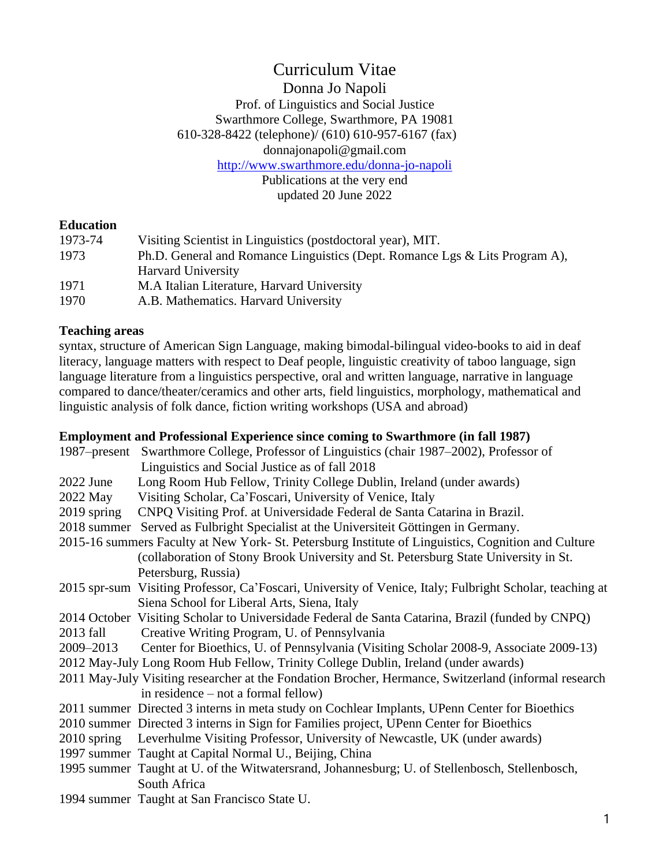# Curriculum Vitae

#### Donna Jo Napoli

Prof. of Linguistics and Social Justice Swarthmore College, Swarthmore, PA 19081 610-328-8422 (telephone)/ (610) 610-957-6167 (fax) donnajonapoli@gmail.com <http://www.swarthmore.edu/donna-jo-napoli>

Publications at the very end updated 20 June 2022

#### **Education**

| 1973-74                                                                             | Visiting Scientist in Linguistics (postdoctoral year), MIT. |
|-------------------------------------------------------------------------------------|-------------------------------------------------------------|
| 1973<br>Ph.D. General and Romance Linguistics (Dept. Romance Lgs & Lits Program A), |                                                             |
|                                                                                     | <b>Harvard University</b>                                   |
| 1971                                                                                | M.A Italian Literature, Harvard University                  |
| 1970                                                                                | A.B. Mathematics. Harvard University                        |

#### **Teaching areas**

syntax, structure of American Sign Language, making bimodal-bilingual video-books to aid in deaf literacy, language matters with respect to Deaf people, linguistic creativity of taboo language, sign language literature from a linguistics perspective, oral and written language, narrative in language compared to dance/theater/ceramics and other arts, field linguistics, morphology, mathematical and linguistic analysis of folk dance, fiction writing workshops (USA and abroad)

### **Employment and Professional Experience since coming to Swarthmore (in fall 1987)**

|             | 1987–present Swarthmore College, Professor of Linguistics (chair 1987–2002), Professor of                |
|-------------|----------------------------------------------------------------------------------------------------------|
|             | Linguistics and Social Justice as of fall 2018                                                           |
| $2022$ June | Long Room Hub Fellow, Trinity College Dublin, Ireland (under awards)                                     |
| 2022 May    | Visiting Scholar, Ca'Foscari, University of Venice, Italy                                                |
| 2019 spring | CNPQ Visiting Prof. at Universidade Federal de Santa Catarina in Brazil.                                 |
|             | 2018 summer Served as Fulbright Specialist at the Universiteit Göttingen in Germany.                     |
|             | 2015-16 summers Faculty at New York- St. Petersburg Institute of Linguistics, Cognition and Culture      |
|             | (collaboration of Stony Brook University and St. Petersburg State University in St.                      |
|             | Petersburg, Russia)                                                                                      |
|             | 2015 spr-sum Visiting Professor, Ca'Foscari, University of Venice, Italy; Fulbright Scholar, teaching at |
|             | Siena School for Liberal Arts, Siena, Italy                                                              |
|             | 2014 October Visiting Scholar to Universidade Federal de Santa Catarina, Brazil (funded by CNPQ)         |
| 2013 fall   | Creative Writing Program, U. of Pennsylvania                                                             |
| 2009–2013   | Center for Bioethics, U. of Pennsylvania (Visiting Scholar 2008-9, Associate 2009-13)                    |
|             | 2012 May-July Long Room Hub Fellow, Trinity College Dublin, Ireland (under awards)                       |
|             | 2011 May-July Visiting researcher at the Fondation Brocher, Hermance, Switzerland (informal research     |
|             | in residence $-$ not a formal fellow)                                                                    |
|             | 2011 summer Directed 3 interns in meta study on Cochlear Implants, UPenn Center for Bioethics            |
|             | 2010 summer Directed 3 interns in Sign for Families project, UPenn Center for Bioethics                  |
|             | 2010 spring Leverhulme Visiting Professor, University of Newcastle, UK (under awards)                    |
|             | 1997 summer Taught at Capital Normal U., Beijing, China                                                  |
|             | 1995 summer Taught at U. of the Witwatersrand, Johannesburg; U. of Stellenbosch, Stellenbosch,           |
|             | South Africa                                                                                             |
|             | 1994 summer Taught at San Francisco State U.                                                             |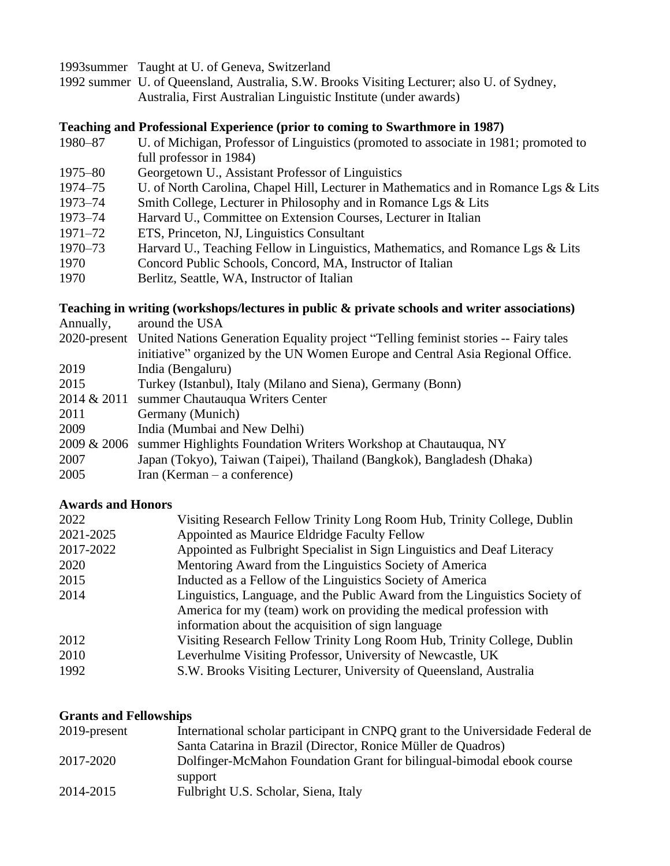1993summer Taught at U. of Geneva, Switzerland

1992 summer U. of Queensland, Australia, S.W. Brooks Visiting Lecturer; also U. of Sydney, Australia, First Australian Linguistic Institute (under awards)

#### **Teaching and Professional Experience (prior to coming to Swarthmore in 1987)**

- 1980–87 U. of Michigan, Professor of Linguistics (promoted to associate in 1981; promoted to full professor in 1984)
- 1975–80 Georgetown U., Assistant Professor of Linguistics
- 1974–75 U. of North Carolina, Chapel Hill, Lecturer in Mathematics and in Romance Lgs & Lits
- 1973–74 Smith College, Lecturer in Philosophy and in Romance Lgs & Lits
- 1973–74 Harvard U., Committee on Extension Courses, Lecturer in Italian
- 1971–72 ETS, Princeton, NJ, Linguistics Consultant
- 1970–73 Harvard U., Teaching Fellow in Linguistics, Mathematics, and Romance Lgs & Lits
- 1970 Concord Public Schools, Concord, MA, Instructor of Italian
- 1970 Berlitz, Seattle, WA, Instructor of Italian

#### **Teaching in writing (workshops/lectures in public & private schools and writer associations)**

| Annually,   | around the USA                                                                                   |
|-------------|--------------------------------------------------------------------------------------------------|
|             | 2020-present United Nations Generation Equality project "Telling feminist stories -- Fairy tales |
|             | initiative" organized by the UN Women Europe and Central Asia Regional Office.                   |
| 2019        | India (Bengaluru)                                                                                |
| 2015        | Turkey (Istanbul), Italy (Milano and Siena), Germany (Bonn)                                      |
| 2014 & 2011 | summer Chautauqua Writers Center                                                                 |
| 2011        | Germany (Munich)                                                                                 |
| 2009        | India (Mumbai and New Delhi)                                                                     |
| 2009 & 2006 | summer Highlights Foundation Writers Workshop at Chautauqua, NY                                  |
| 2007        | Japan (Tokyo), Taiwan (Taipei), Thailand (Bangkok), Bangladesh (Dhaka)                           |
| 2005        | Iran (Kerman $-$ a conference)                                                                   |

#### **Awards and Honors**

| Visiting Research Fellow Trinity Long Room Hub, Trinity College, Dublin     |
|-----------------------------------------------------------------------------|
| Appointed as Maurice Eldridge Faculty Fellow                                |
| Appointed as Fulbright Specialist in Sign Linguistics and Deaf Literacy     |
| Mentoring Award from the Linguistics Society of America                     |
| Inducted as a Fellow of the Linguistics Society of America                  |
| Linguistics, Language, and the Public Award from the Linguistics Society of |
| America for my (team) work on providing the medical profession with         |
| information about the acquisition of sign language                          |
| Visiting Research Fellow Trinity Long Room Hub, Trinity College, Dublin     |
| Leverhulme Visiting Professor, University of Newcastle, UK                  |
| S.W. Brooks Visiting Lecturer, University of Queensland, Australia          |
|                                                                             |

#### **Grants and Fellowships**

| 2019-present | International scholar participant in CNPQ grant to the Universidade Federal de |
|--------------|--------------------------------------------------------------------------------|
|              | Santa Catarina in Brazil (Director, Ronice Müller de Quadros)                  |
| 2017-2020    | Dolfinger-McMahon Foundation Grant for bilingual-bimodal ebook course          |
|              | support                                                                        |
| 2014-2015    | Fulbright U.S. Scholar, Siena, Italy                                           |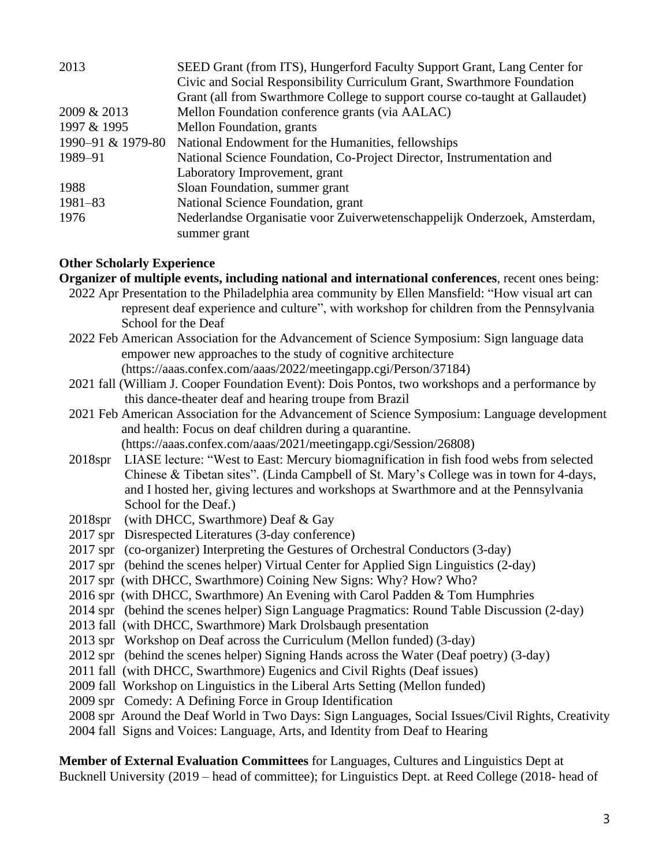| 2013              | SEED Grant (from ITS), Hungerford Faculty Support Grant, Lang Center for     |
|-------------------|------------------------------------------------------------------------------|
|                   | Civic and Social Responsibility Curriculum Grant, Swarthmore Foundation      |
|                   | Grant (all from Swarthmore College to support course co-taught at Gallaudet) |
| 2009 & 2013       | Mellon Foundation conference grants (via AALAC)                              |
| 1997 & 1995       | Mellon Foundation, grants                                                    |
| 1990-91 & 1979-80 | National Endowment for the Humanities, fellowships                           |
| 1989-91           | National Science Foundation, Co-Project Director, Instrumentation and        |
|                   | Laboratory Improvement, grant                                                |
| 1988              | Sloan Foundation, summer grant                                               |
| $1981 - 83$       | National Science Foundation, grant                                           |
| 1976              | Nederlandse Organisatie voor Zuiverwetenschappelijk Onderzoek, Amsterdam,    |
|                   | summer grant                                                                 |

#### **Other Scholarly Experience**

**Organizer of multiple events, including national and international conferences**, recent ones being:

- 2022 Apr Presentation to the Philadelphia area community by Ellen Mansfield: "How visual art can represent deaf experience and culture", with workshop for children from the Pennsylvania School for the Deaf
- 2022 Feb American Association for the Advancement of Science Symposium: Sign language data empower new approaches to the study of cognitive architecture (https://aaas.confex.com/aaas/2022/meetingapp.cgi/Person/37184)
- 2021 fall (William J. Cooper Foundation Event): Dois Pontos, two workshops and a performance by this dance-theater deaf and hearing troupe from Brazil
- 2021 Feb American Association for the Advancement of Science Symposium: Language development and health: Focus on deaf children during a quarantine. (https://aaas.confex.com/aaas/2021/meetingapp.cgi/Session/26808)
- 2018spr LIASE lecture: "West to East: Mercury biomagnification in fish food webs from selected Chinese & Tibetan sites". (Linda Campbell of St. Mary's College was in town for 4-days, and I hosted her, giving lectures and workshops at Swarthmore and at the Pennsylvania School for the Deaf.)
- 2018spr (with DHCC, Swarthmore) Deaf & Gay
- 2017 spr Disrespected Literatures (3-day conference)
- 2017 spr (co-organizer) Interpreting the Gestures of Orchestral Conductors (3-day)
- 2017 spr (behind the scenes helper) Virtual Center for Applied Sign Linguistics (2-day)
- 2017 spr (with DHCC, Swarthmore) Coining New Signs: Why? How? Who?
- 2016 spr (with DHCC, Swarthmore) An Evening with Carol Padden & Tom Humphries
- 2014 spr (behind the scenes helper) Sign Language Pragmatics: Round Table Discussion (2-day)
- 2013 fall (with DHCC, Swarthmore) Mark Drolsbaugh presentation
- 2013 spr Workshop on Deaf across the Curriculum (Mellon funded) (3-day)
- 2012 spr (behind the scenes helper) Signing Hands across the Water (Deaf poetry) (3-day)
- 2011 fall (with DHCC, Swarthmore) Eugenics and Civil Rights (Deaf issues)
- 2009 fall Workshop on Linguistics in the Liberal Arts Setting (Mellon funded)
- 2009 spr Comedy: A Defining Force in Group Identification
- 2008 spr Around the Deaf World in Two Days: Sign Languages, Social Issues/Civil Rights, Creativity
- 2004 fall Signs and Voices: Language, Arts, and Identity from Deaf to Hearing

**Member of External Evaluation Committees** for Languages, Cultures and Linguistics Dept at Bucknell University (2019 – head of committee); for Linguistics Dept. at Reed College (2018- head of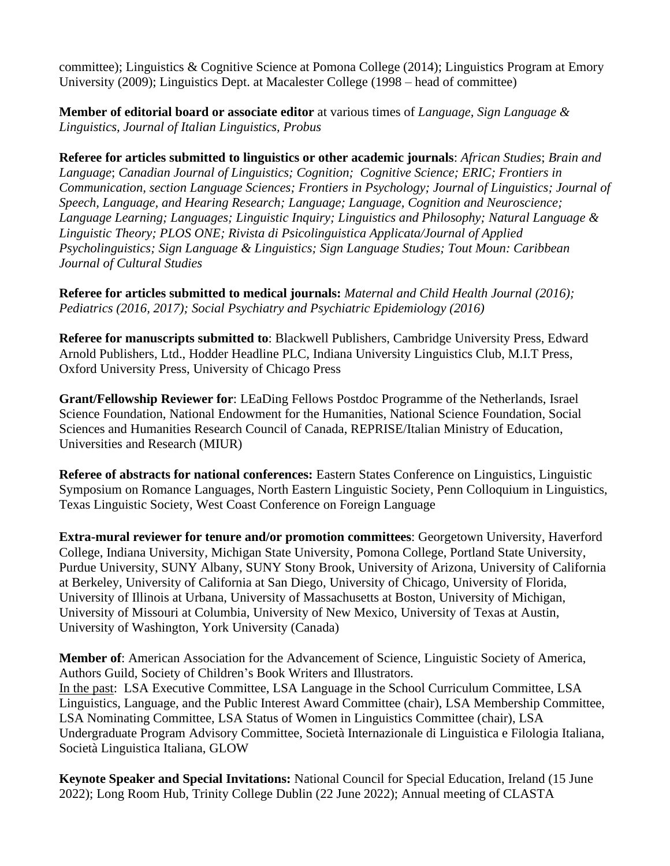committee); Linguistics & Cognitive Science at Pomona College (2014); Linguistics Program at Emory University (2009); Linguistics Dept. at Macalester College (1998 – head of committee)

**Member of editorial board or associate editor** at various times of *Language, Sign Language & Linguistics, Journal of Italian Linguistics, Probus*

**Referee for articles submitted to linguistics or other academic journals**: *African Studies*; *Brain and Language*; *Canadian Journal of Linguistics; Cognition; Cognitive Science; ERIC; Frontiers in Communication, section Language Sciences; Frontiers in Psychology; Journal of Linguistics; Journal of Speech, Language, and Hearing Research; Language; Language, Cognition and Neuroscience; Language Learning; Languages; Linguistic Inquiry; Linguistics and Philosophy; Natural Language & Linguistic Theory; PLOS ONE; Rivista di Psicolinguistica Applicata/Journal of Applied Psycholinguistics; Sign Language & Linguistics; Sign Language Studies; Tout Moun: Caribbean Journal of Cultural Studies*

**Referee for articles submitted to medical journals:** *Maternal and Child Health Journal (2016); Pediatrics (2016, 2017); Social Psychiatry and Psychiatric Epidemiology (2016)*

**Referee for manuscripts submitted to**: Blackwell Publishers, Cambridge University Press, Edward Arnold Publishers, Ltd., Hodder Headline PLC, Indiana University Linguistics Club, M.I.T Press, Oxford University Press, University of Chicago Press

**Grant/Fellowship Reviewer for**: LEaDing Fellows Postdoc Programme of the Netherlands, Israel Science Foundation, National Endowment for the Humanities, National Science Foundation, Social Sciences and Humanities Research Council of Canada, REPRISE/Italian Ministry of Education, Universities and Research (MIUR)

**Referee of abstracts for national conferences:** Eastern States Conference on Linguistics, Linguistic Symposium on Romance Languages, North Eastern Linguistic Society, Penn Colloquium in Linguistics, Texas Linguistic Society, West Coast Conference on Foreign Language

**Extra-mural reviewer for tenure and/or promotion committees**: Georgetown University, Haverford College, Indiana University, Michigan State University, Pomona College, Portland State University, Purdue University, SUNY Albany, SUNY Stony Brook, University of Arizona, University of California at Berkeley, University of California at San Diego, University of Chicago, University of Florida, University of Illinois at Urbana, University of Massachusetts at Boston, University of Michigan, University of Missouri at Columbia, University of New Mexico, University of Texas at Austin, University of Washington, York University (Canada)

**Member of**: American Association for the Advancement of Science, Linguistic Society of America, Authors Guild, Society of Children's Book Writers and Illustrators. In the past: LSA Executive Committee, LSA Language in the School Curriculum Committee, LSA Linguistics, Language, and the Public Interest Award Committee (chair), LSA Membership Committee, LSA Nominating Committee, LSA Status of Women in Linguistics Committee (chair), LSA Undergraduate Program Advisory Committee, Società Internazionale di Linguistica e Filologia Italiana, Società Linguistica Italiana, GLOW

**Keynote Speaker and Special Invitations:** National Council for Special Education, Ireland (15 June 2022); Long Room Hub, Trinity College Dublin (22 June 2022); Annual meeting of CLASTA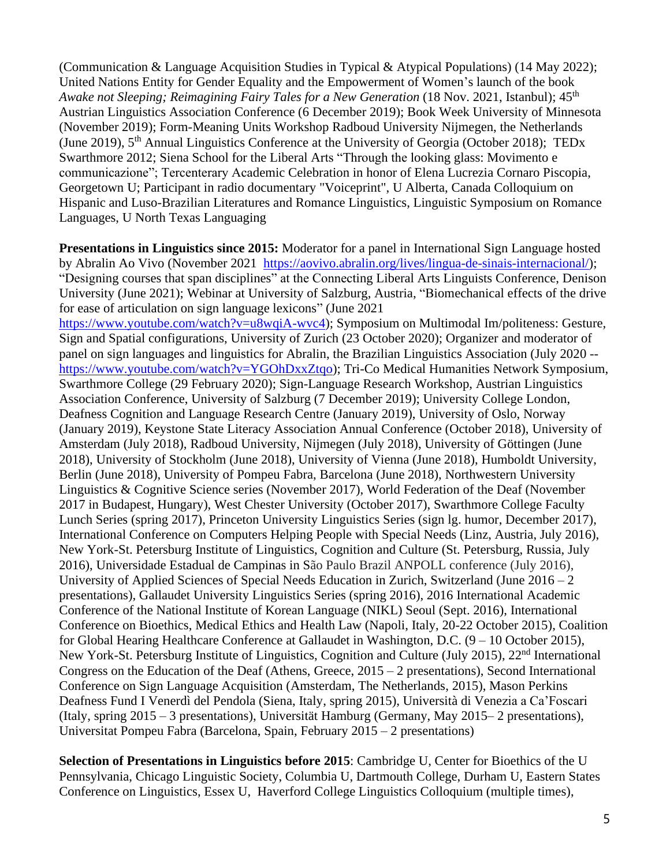(Communication & Language Acquisition Studies in Typical & Atypical Populations) (14 May 2022); United Nations Entity for Gender Equality and the Empowerment of Women's launch of the book *Awake not Sleeping; Reimagining Fairy Tales for a New Generation* (18 Nov. 2021, Istanbul); 45<sup>th</sup> Austrian Linguistics Association Conference (6 December 2019); Book Week University of Minnesota (November 2019); Form-Meaning Units Workshop Radboud University Nijmegen, the Netherlands (June 2019), 5<sup>th</sup> Annual Linguistics Conference at the University of Georgia (October 2018); TEDx Swarthmore 2012; Siena School for the Liberal Arts "Through the looking glass: Movimento e communicazione"; Tercenterary Academic Celebration in honor of Elena Lucrezia Cornaro Piscopia, Georgetown U; Participant in radio documentary "Voiceprint", U Alberta, Canada Colloquium on Hispanic and Luso-Brazilian Literatures and Romance Linguistics, Linguistic Symposium on Romance Languages, U North Texas Languaging

**Presentations in Linguistics since 2015:** Moderator for a panel in International Sign Language hosted by Abralin Ao Vivo (November 2021 [https://aovivo.abralin.org/lives/lingua-de-sinais-internacional/\)](https://aovivo.abralin.org/lives/lingua-de-sinais-internacional/); "Designing courses that span disciplines" at the Connecting Liberal Arts Linguists Conference, Denison University (June 2021); Webinar at University of Salzburg, Austria, "Biomechanical effects of the drive for ease of articulation on sign language lexicons" (June 2021 [https://www.youtube.com/watch?v=u8wqiA-wvc4\)](https://www.youtube.com/watch?v=u8wqiA-wvc4); Symposium on Multimodal Im/politeness: Gesture, Sign and Spatial configurations, University of Zurich (23 October 2020); Organizer and moderator of panel on sign languages and linguistics for Abralin, the Brazilian Linguistics Association (July 2020 - [https://www.youtube.com/watch?v=YGOhDxxZtqo\)](https://www.youtube.com/watch?v=YGOhDxxZtqo); Tri-Co Medical Humanities Network Symposium, Swarthmore College (29 February 2020); Sign-Language Research Workshop, Austrian Linguistics Association Conference, University of Salzburg (7 December 2019); University College London, Deafness Cognition and Language Research Centre (January 2019), University of Oslo, Norway (January 2019), Keystone State Literacy Association Annual Conference (October 2018), University of Amsterdam (July 2018), Radboud University, Nijmegen (July 2018), University of Göttingen (June 2018), University of Stockholm (June 2018), University of Vienna (June 2018), Humboldt University, Berlin (June 2018), University of Pompeu Fabra, Barcelona (June 2018), Northwestern University Linguistics & Cognitive Science series (November 2017), World Federation of the Deaf (November 2017 in Budapest, Hungary), West Chester University (October 2017), Swarthmore College Faculty Lunch Series (spring 2017), Princeton University Linguistics Series (sign lg. humor, December 2017), International Conference on Computers Helping People with Special Needs (Linz, Austria, July 2016), New York-St. Petersburg Institute of Linguistics, Cognition and Culture (St. Petersburg, Russia, July 2016), Universidade Estadual de Campinas in São Paulo Brazil ANPOLL conference (July 2016), University of Applied Sciences of Special Needs Education in Zurich, Switzerland (June  $2016 - 2$ presentations), Gallaudet University Linguistics Series (spring 2016), 2016 International Academic Conference of the National Institute of Korean Language (NIKL) Seoul (Sept. 2016), International Conference on Bioethics, Medical Ethics and Health Law (Napoli, Italy, 20-22 October 2015), Coalition for Global Hearing Healthcare Conference at Gallaudet in Washington, D.C. (9 – 10 October 2015), New York-St. Petersburg Institute of Linguistics, Cognition and Culture (July 2015), 22nd International Congress on the Education of the Deaf (Athens, Greece, 2015 – 2 presentations), Second International Conference on Sign Language Acquisition (Amsterdam, The Netherlands, 2015), Mason Perkins Deafness Fund I Venerdì del Pendola (Siena, Italy, spring 2015), Università di Venezia a Ca'Foscari (Italy, spring 2015 – 3 presentations), Universität Hamburg (Germany, May 2015– 2 presentations), Universitat Pompeu Fabra (Barcelona, Spain, February 2015 – 2 presentations)

**Selection of Presentations in Linguistics before 2015**: Cambridge U, Center for Bioethics of the U Pennsylvania, Chicago Linguistic Society, Columbia U, Dartmouth College, Durham U, Eastern States Conference on Linguistics, Essex U, Haverford College Linguistics Colloquium (multiple times),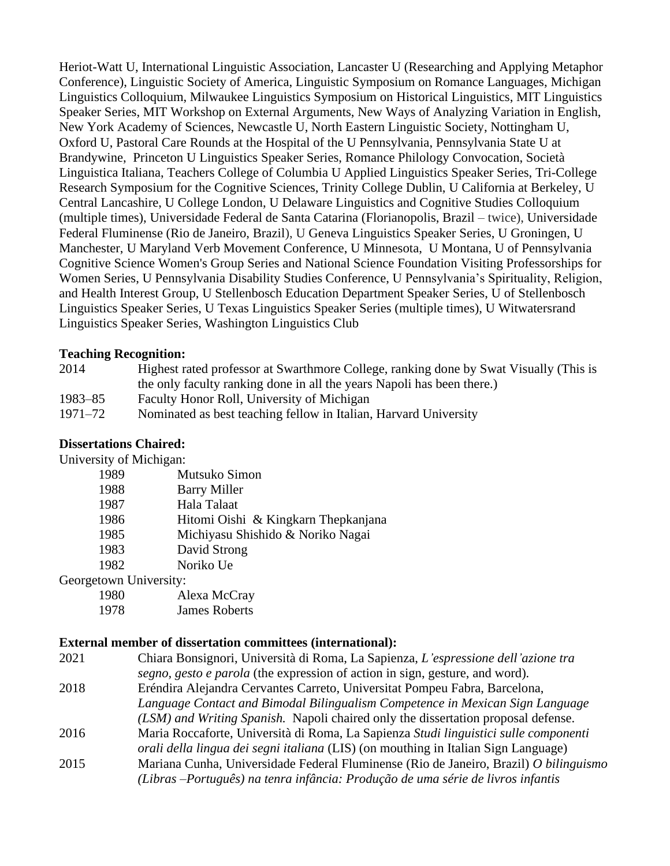Heriot-Watt U, International Linguistic Association, Lancaster U (Researching and Applying Metaphor Conference), Linguistic Society of America, Linguistic Symposium on Romance Languages, Michigan Linguistics Colloquium, Milwaukee Linguistics Symposium on Historical Linguistics, MIT Linguistics Speaker Series, MIT Workshop on External Arguments, New Ways of Analyzing Variation in English, New York Academy of Sciences, Newcastle U, North Eastern Linguistic Society, Nottingham U, Oxford U, Pastoral Care Rounds at the Hospital of the U Pennsylvania, Pennsylvania State U at Brandywine, Princeton U Linguistics Speaker Series, Romance Philology Convocation, Società Linguistica Italiana, Teachers College of Columbia U Applied Linguistics Speaker Series, Tri-College Research Symposium for the Cognitive Sciences, Trinity College Dublin, U California at Berkeley, U Central Lancashire, U College London, U Delaware Linguistics and Cognitive Studies Colloquium (multiple times), Universidade Federal de Santa Catarina (Florianopolis, Brazil – twice), Universidade Federal Fluminense (Rio de Janeiro, Brazil), U Geneva Linguistics Speaker Series, U Groningen, U Manchester, U Maryland Verb Movement Conference, U Minnesota, U Montana, U of Pennsylvania Cognitive Science Women's Group Series and National Science Foundation Visiting Professorships for Women Series, U Pennsylvania Disability Studies Conference, U Pennsylvania's Spirituality, Religion, and Health Interest Group, U Stellenbosch Education Department Speaker Series, U of Stellenbosch Linguistics Speaker Series, U Texas Linguistics Speaker Series (multiple times), U Witwatersrand Linguistics Speaker Series, Washington Linguistics Club

#### **Teaching Recognition:**

| 2014        | Highest rated professor at Swarthmore College, ranking done by Swat Visually (This is |
|-------------|---------------------------------------------------------------------------------------|
|             | the only faculty ranking done in all the years Napoli has been there.)                |
| $1983 - 85$ | Faculty Honor Roll, University of Michigan                                            |
| 1971–72     | Nominated as best teaching fellow in Italian, Harvard University                      |

#### **Dissertations Chaired:**

University of Michigan:

| Mutsuko Simon                       |
|-------------------------------------|
| <b>Barry Miller</b>                 |
| Hala Talaat                         |
| Hitomi Oishi & Kingkarn Thepkanjana |
| Michiyasu Shishido & Noriko Nagai   |
| David Strong                        |
| Noriko Ue                           |
|                                     |

Georgetown University:

| 1980 | Alexa McCray  |
|------|---------------|
| 1978 | James Roberts |

#### **External member of dissertation committees (international):**

| Chiara Bonsignori, Università di Roma, La Sapienza, L'espressione dell'azione tra         |
|-------------------------------------------------------------------------------------------|
| segno, gesto e parola (the expression of action in sign, gesture, and word).              |
| Eréndira Alejandra Cervantes Carreto, Universitat Pompeu Fabra, Barcelona,                |
| Language Contact and Bimodal Bilingualism Competence in Mexican Sign Language             |
| (LSM) and Writing Spanish. Napoli chaired only the dissertation proposal defense.         |
| Maria Roccaforte, Università di Roma, La Sapienza Studi linguistici sulle componenti      |
| <i>orali della lingua dei segni italiana</i> (LIS) (on mouthing in Italian Sign Language) |
| Mariana Cunha, Universidade Federal Fluminense (Rio de Janeiro, Brazil) O bilinguismo     |
| (Libras –Português) na tenra infância: Produção de uma série de livros infantis           |
|                                                                                           |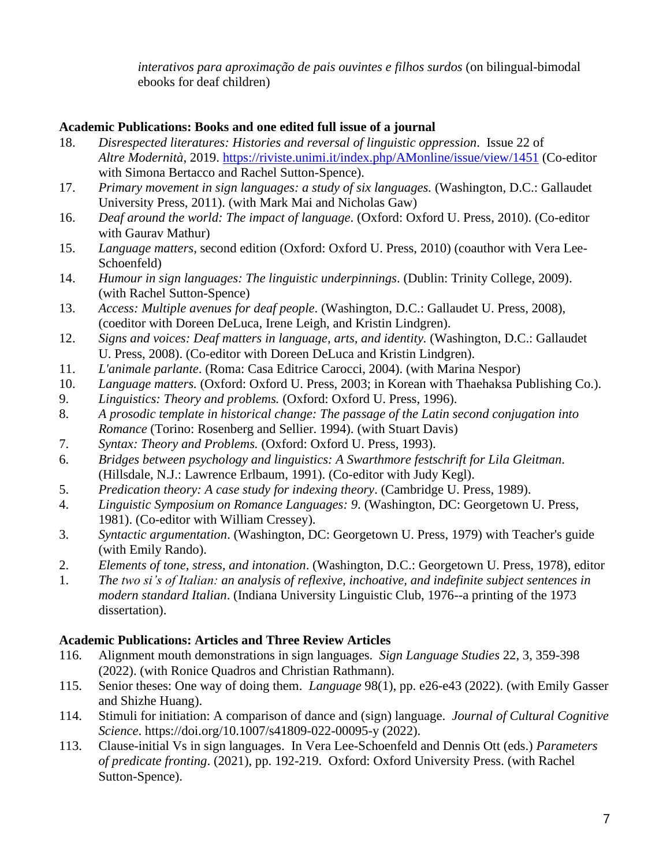*interativos para aproximação de pais ouvintes e filhos surdos* (on bilingual-bimodal ebooks for deaf children)

### **Academic Publications: Books and one edited full issue of a journal**

- 18. *Disrespected literatures: Histories and reversal of linguistic oppression*. Issue 22 of *Altre Modernità*, 2019. <https://riviste.unimi.it/index.php/AMonline/issue/view/1451> (Co-editor with Simona Bertacco and Rachel Sutton-Spence).
- 17. *Primary movement in sign languages: a study of six languages.* (Washington, D.C.: Gallaudet University Press, 2011). (with Mark Mai and Nicholas Gaw)
- 16. *Deaf around the world: The impact of language*. (Oxford: Oxford U. Press, 2010). (Co-editor with Gaurav Mathur)
- 15. *Language matters*, second edition (Oxford: Oxford U. Press, 2010) (coauthor with Vera Lee-Schoenfeld)
- 14. *Humour in sign languages: The linguistic underpinnings*. (Dublin: Trinity College, 2009). (with Rachel Sutton-Spence)
- 13. *Access: Multiple avenues for deaf people*. (Washington, D.C.: Gallaudet U. Press, 2008), (coeditor with Doreen DeLuca, Irene Leigh, and Kristin Lindgren).
- 12. *Signs and voices: Deaf matters in language, arts, and identity.* (Washington, D.C.: Gallaudet U. Press, 2008). (Co-editor with Doreen DeLuca and Kristin Lindgren).
- 11. *L'animale parlante*. (Roma: Casa Editrice Carocci, 2004). (with Marina Nespor)
- 10. *Language matters.* (Oxford: Oxford U. Press, 2003; in Korean with Thaehaksa Publishing Co.).
- 9. *Linguistics: Theory and problems.* (Oxford: Oxford U. Press, 1996).
- 8. *A prosodic template in historical change: The passage of the Latin second conjugation into Romance* (Torino: Rosenberg and Sellier. 1994). (with Stuart Davis)
- 7. *Syntax: Theory and Problems.* (Oxford: Oxford U. Press, 1993).
- 6. *Bridges between psychology and linguistics: A Swarthmore festschrift for Lila Gleitman*. (Hillsdale, N.J.: Lawrence Erlbaum, 1991). (Co-editor with Judy Kegl).
- 5. *Predication theory: A case study for indexing theory*. (Cambridge U. Press, 1989).
- 4. *Linguistic Symposium on Romance Languages: 9*. (Washington, DC: Georgetown U. Press, 1981). (Co-editor with William Cressey).
- 3. *Syntactic argumentation*. (Washington, DC: Georgetown U. Press, 1979) with Teacher's guide (with Emily Rando).
- 2. *Elements of tone, stress, and intonation*. (Washington, D.C.: Georgetown U. Press, 1978), editor
- 1. *The two si's of Italian: an analysis of reflexive, inchoative, and indefinite subject sentences in modern standard Italian*. (Indiana University Linguistic Club, 1976--a printing of the 1973 dissertation).

## **Academic Publications: Articles and Three Review Articles**

- 116. Alignment mouth demonstrations in sign languages. *Sign Language Studies* 22, 3, 359-398 (2022). (with Ronice Quadros and Christian Rathmann).
- 115. Senior theses: One way of doing them. *Language* 98(1), pp. e26-e43 (2022). (with Emily Gasser and Shizhe Huang).
- 114. Stimuli for initiation: A comparison of dance and (sign) language. *Journal of Cultural Cognitive Science*. https://doi.org/10.1007/s41809-022-00095-y (2022).
- 113. Clause-initial Vs in sign languages. In Vera Lee-Schoenfeld and Dennis Ott (eds.) *Parameters of predicate fronting*. (2021), pp. 192-219. Oxford: Oxford University Press. (with Rachel Sutton-Spence).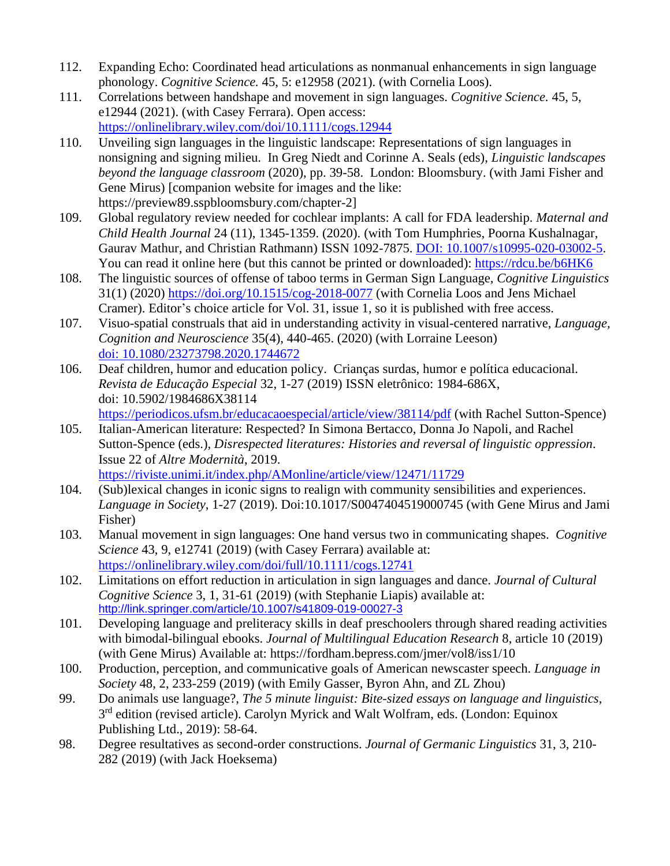- 112. Expanding Echo: Coordinated head articulations as nonmanual enhancements in sign language phonology. *Cognitive Science.* 45, 5: e12958 (2021). (with Cornelia Loos).
- 111. Correlations between handshape and movement in sign languages. *Cognitive Science.* 45, 5, e12944 (2021). (with Casey Ferrara). Open access: <https://onlinelibrary.wiley.com/doi/10.1111/cogs.12944>
- 110. Unveiling sign languages in the linguistic landscape: Representations of sign languages in nonsigning and signing milieu. In Greg Niedt and Corinne A. Seals (eds), *Linguistic landscapes beyond the language classroom* (2020), pp. 39-58. London: Bloomsbury. (with Jami Fisher and Gene Mirus) [companion website for images and the like: https://preview89.sspbloomsbury.com/chapter-2]
- 109. Global regulatory review needed for cochlear implants: A call for FDA leadership. *Maternal and Child Health Journal* 24 (11), 1345-1359. (2020). (with Tom Humphries, Poorna Kushalnagar, Gaurav Mathur, and Christian Rathmann) ISSN 1092-7875. [DOI: 10.1007/s10995-020-03002-5.](https://link.springer.com/article/10.1007/s10995-020-03002-5?wt_mc=Internal.Event.1.SEM.ArticleAuthorOnlineFirst&utm_source=ArticleAuthorOnlineFirst&utm_medium=email&utm_content=AA_en_06082018&ArticleAuthorOnlineFirst_20200903) You can read it online here (but this cannot be printed or downloaded): <https://rdcu.be/b6HK6>
- 108. The linguistic sources of offense of taboo terms in German Sign Language, *Cognitive Linguistics* 31(1) (2020) <https://doi.org/10.1515/cog-2018-0077> (with Cornelia Loos and Jens Michael Cramer). Editor's choice article for Vol. 31, issue 1, so it is published with free access.
- 107. Visuo-spatial construals that aid in understanding activity in visual-centered narrative, *Language, Cognition and Neuroscience* 35(4), 440-465. (2020) (with Lorraine Leeson) [doi: 10.1080/23273798.2020.1744672](https://doi.org/10.1080/23273798.2020.1744672)
- 106. Deaf children, humor and education policy. Crianças surdas, humor e política educacional. *Revista de Educação Especial* 32, 1-27 (2019) ISSN eletrônico: 1984-686X, doi: 10.5902/1984686X38114

<https://periodicos.ufsm.br/educacaoespecial/article/view/38114/pdf> (with Rachel Sutton-Spence)

- 105. Italian-American literature: Respected? In Simona Bertacco, Donna Jo Napoli, and Rachel Sutton-Spence (eds.), *Disrespected literatures: Histories and reversal of linguistic oppression*. Issue 22 of *Altre Modernità*, 2019. <https://riviste.unimi.it/index.php/AMonline/article/view/12471/11729>
- 104. (Sub)lexical changes in iconic signs to realign with community sensibilities and experiences. *Language in Society*, 1-27 (2019). Doi:10.1017/S0047404519000745 (with Gene Mirus and Jami Fisher)
- 103. Manual movement in sign languages: One hand versus two in communicating shapes. *Cognitive Science* 43, 9, e12741 (2019) (with Casey Ferrara) available at: <https://onlinelibrary.wiley.com/doi/full/10.1111/cogs.12741>
- 102. Limitations on effort reduction in articulation in sign languages and dance. *Journal of Cultural Cognitive Science* 3, 1, 31-61 (2019) (with Stephanie Liapis) available at: <http://link.springer.com/article/10.1007/s41809-019-00027-3>
- 101. Developing language and preliteracy skills in deaf preschoolers through shared reading activities with bimodal-bilingual ebooks. *Journal of Multilingual Education Research* 8, article 10 (2019) (with Gene Mirus) Available at: https://fordham.bepress.com/jmer/vol8/iss1/10
- 100. Production, perception, and communicative goals of American newscaster speech. *Language in Society* 48, 2, 233-259 (2019) (with Emily Gasser, Byron Ahn, and ZL Zhou)
- 99. Do animals use language?, *The 5 minute linguist: Bite-sized essays on language and linguistics*, 3<sup>rd</sup> edition (revised article). Carolyn Myrick and Walt Wolfram, eds. (London: Equinox Publishing Ltd., 2019): 58-64.
- 98. Degree resultatives as second-order constructions. *Journal of Germanic Linguistics* 31, 3, 210- 282 (2019) (with Jack Hoeksema)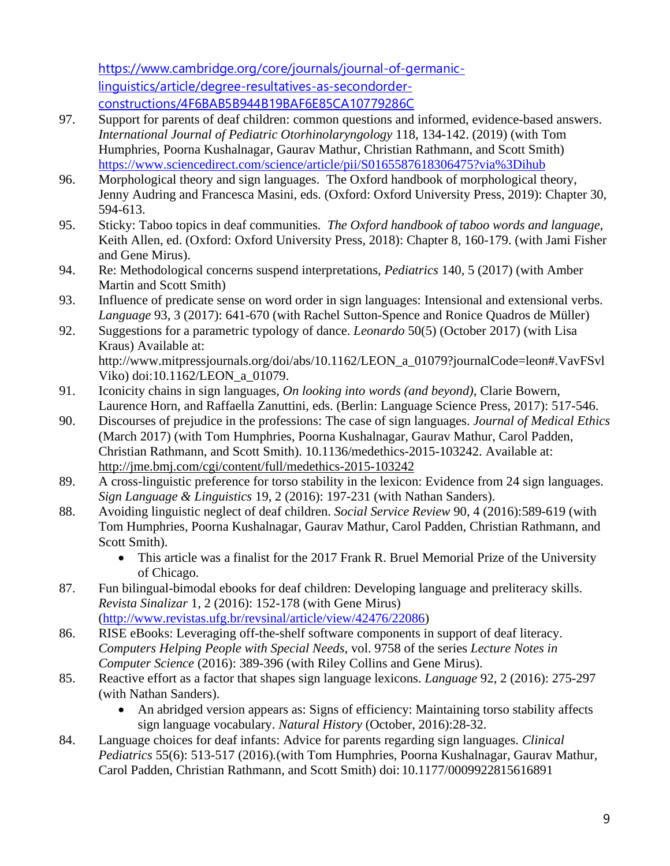[https://www.cambridge.org/core/journals/journal-of-germanic](https://www.cambridge.org/core/journals/journal-of-germanic-linguistics/article/degree-resultatives-as-secondorder-constructions/4F6BAB5B944B19BAF6E85CA10779286C)[linguistics/article/degree-resultatives-as-secondorder](https://www.cambridge.org/core/journals/journal-of-germanic-linguistics/article/degree-resultatives-as-secondorder-constructions/4F6BAB5B944B19BAF6E85CA10779286C)[constructions/4F6BAB5B944B19BAF6E85CA10779286C](https://www.cambridge.org/core/journals/journal-of-germanic-linguistics/article/degree-resultatives-as-secondorder-constructions/4F6BAB5B944B19BAF6E85CA10779286C)

- 97. Support for parents of deaf children: common questions and informed, evidence-based answers. *International Journal of Pediatric Otorhinolaryngology* 118, 134-142. (2019) (with Tom Humphries, Poorna Kushalnagar, Gaurav Mathur, Christian Rathmann, and Scott Smith) <https://www.sciencedirect.com/science/article/pii/S0165587618306475?via%3Dihub>
- 96. Morphological theory and sign languages. The Oxford handbook of morphological theory, Jenny Audring and Francesca Masini, eds. (Oxford: Oxford University Press, 2019): Chapter 30, 594-613.
- 95. Sticky: Taboo topics in deaf communities. *The Oxford handbook of taboo words and language*, Keith Allen, ed. (Oxford: Oxford University Press, 2018): Chapter 8, 160-179. (with Jami Fisher and Gene Mirus).
- 94. Re: Methodological concerns suspend interpretations, *Pediatrics* 140, 5 (2017) (with Amber Martin and Scott Smith)
- 93. Influence of predicate sense on word order in sign languages: Intensional and extensional verbs. *Language* 93, 3 (2017): 641-670 (with Rachel Sutton-Spence and Ronice Quadros de Müller)
- 92. Suggestions for a parametric typology of dance. *Leonardo* 50(5) (October 2017) (with Lisa Kraus) Available at: http://www.mitpressjournals.org/doi/abs/10.1162/LEON\_a\_01079?journalCode=leon#.VavFSvl
- Viko) doi:10.1162/LEON\_a\_01079. 91. Iconicity chains in sign languages, *On looking into words (and beyond)*, Clarie Bowern, Laurence Horn, and Raffaella Zanuttini, eds. (Berlin: Language Science Press, 2017): 517-546.
- 90. Discourses of prejudice in the professions: The case of sign languages. *Journal of Medical Ethics* (March 2017) (with Tom Humphries, Poorna Kushalnagar, Gaurav Mathur, Carol Padden, Christian Rathmann, and Scott Smith). 10.1136/medethics-2015-103242. Available at: <http://jme.bmj.com/cgi/content/full/medethics-2015-103242>
- 89. A cross-linguistic preference for torso stability in the lexicon: Evidence from 24 sign languages. *Sign Language & Linguistics* 19, 2 (2016): 197-231 (with Nathan Sanders).
- 88. Avoiding linguistic neglect of deaf children. *Social Service Review* 90, 4 (2016):589-619 (with Tom Humphries, Poorna Kushalnagar, Gaurav Mathur, Carol Padden, Christian Rathmann, and Scott Smith).
	- This article was a finalist for the 2017 Frank R. Bruel Memorial Prize of the University of Chicago.
- 87. Fun bilingual-bimodal ebooks for deaf children: Developing language and preliteracy skills. *Revista Sinalizar* 1, 2 (2016): 152-178 (with Gene Mirus) [\(http://www.revistas.ufg.br/revsinal/article/view/42476/22086\)](http://www.revistas.ufg.br/revsinal/article/view/42476/22086)
- 86. RISE eBooks: Leveraging off-the-shelf software components in support of deaf literacy. *Computers Helping People with Special Needs*, vol. 9758 of the series *Lecture Notes in Computer Science* (2016): 389-396 (with Riley Collins and Gene Mirus).
- 85. Reactive effort as a factor that shapes sign language lexicons. *Language* 92, 2 (2016): 275-297 (with Nathan Sanders).
	- An abridged version appears as: Signs of efficiency: Maintaining torso stability affects sign language vocabulary. *Natural History* (October, 2016):28-32.
- 84. Language choices for deaf infants: Advice for parents regarding sign languages. *Clinical Pediatrics* 55(6): 513-517 (2016)*.*(with Tom Humphries, Poorna Kushalnagar, Gaurav Mathur, Carol Padden, Christian Rathmann, and Scott Smith) doi: 10.1177/0009922815616891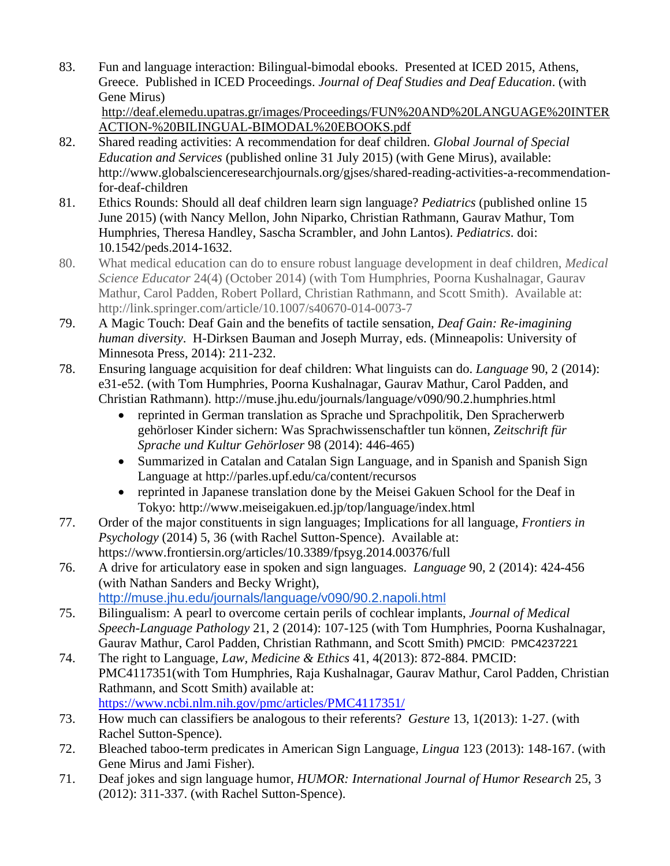83. Fun and language interaction: Bilingual-bimodal ebooks. Presented at ICED 2015, Athens, Greece. Published in ICED Proceedings. *Journal of Deaf Studies and Deaf Education*. (with Gene Mirus)

[http://deaf.elemedu.upatras.gr/images/Proceedings/FUN%20AND%20LANGUAGE%20INTER](http://deaf.elemedu.upatras.gr/images/Proceedings/FUN%20AND%20LANGUAGE%20INTERACTION-%20BILINGUAL-BIMODAL%20EBOOKS.pdf) [ACTION-%20BILINGUAL-BIMODAL%20EBOOKS.pdf](http://deaf.elemedu.upatras.gr/images/Proceedings/FUN%20AND%20LANGUAGE%20INTERACTION-%20BILINGUAL-BIMODAL%20EBOOKS.pdf)

- 82. Shared reading activities: A recommendation for deaf children. *Global Journal of Special Education and Services* (published online 31 July 2015) (with Gene Mirus), available: http://www.globalscienceresearchjournals.org/gjses/shared-reading-activities-a-recommendationfor-deaf-children
- 81. Ethics Rounds: Should all deaf children learn sign language? *Pediatrics* (published online 15 June 2015) (with Nancy Mellon, John Niparko, Christian Rathmann, Gaurav Mathur, Tom Humphries, Theresa Handley, Sascha Scrambler, and John Lantos). *Pediatrics*. doi: 10.1542/peds.2014-1632.
- 80. What medical education can do to ensure robust language development in deaf children, *Medical Science Educator* 24(4) (October 2014) (with Tom Humphries, Poorna Kushalnagar, Gaurav Mathur, Carol Padden, Robert Pollard, Christian Rathmann, and Scott Smith). Available at: [http://link.springer.com/article/10.1007/s40670-014-0073-7](http://www.springer.com/-/1/1e68d21412954b8586e0675f342388d3)
- 79. A Magic Touch: Deaf Gain and the benefits of tactile sensation, *Deaf Gain: Re-imagining human diversity*. H-Dirksen Bauman and Joseph Murray, eds. (Minneapolis: University of Minnesota Press, 2014): 211-232.
- 78. Ensuring language acquisition for deaf children: What linguists can do. *Language* 90, 2 (2014): e31-e52. (with Tom Humphries, Poorna Kushalnagar, Gaurav Mathur, Carol Padden, and Christian Rathmann).<http://muse.jhu.edu/journals/language/v090/90.2.humphries.html>
	- reprinted in German translation as Sprache und Sprachpolitik, Den Spracherwerb gehörloser Kinder sichern: Was Sprachwissenschaftler tun können, *Zeitschrift für Sprache und Kultur Gehörloser* 98 (2014): 446-465)
	- Summarized in Catalan and Catalan Sign Language, and in Spanish and Spanish Sign Language at<http://parles.upf.edu/ca/content/recursos>
	- reprinted in Japanese translation done by the Meisei Gakuen School for the Deaf in Tokyo: http://www.meiseigakuen.ed.jp/top/language/index.html
- 77. Order of the major constituents in sign languages; Implications for all language, *Frontiers in Psychology* (2014) 5, 36 (with Rachel Sutton-Spence). Available at: https://www.frontiersin.org/articles/10.3389/fpsyg.2014.00376/full
- 76. A drive for articulatory ease in spoken and sign languages. *Language* 90, 2 (2014): 424-456 (with Nathan Sanders and Becky Wright), <http://muse.jhu.edu/journals/language/v090/90.2.napoli.html>
- 75. Bilingualism: A pearl to overcome certain perils of cochlear implants, *Journal of Medical Speech-Language Pathology* 21, 2 (2014): 107-125 (with Tom Humphries, Poorna Kushalnagar, Gaurav Mathur, Carol Padden, Christian Rathmann, and Scott Smith) PMCID: PMC4237221
- 74. The right to Language, *Law, Medicine & Ethics* 41, 4(2013): 872-884. PMCID: PMC4117351(with Tom Humphries, Raja Kushalnagar, Gaurav Mathur, Carol Padden, Christian Rathmann, and Scott Smith) available at: <https://www.ncbi.nlm.nih.gov/pmc/articles/PMC4117351/>
- 73. How much can classifiers be analogous to their referents? *Gesture* 13, 1(2013): 1-27. (with Rachel Sutton-Spence).
- 72. Bleached taboo-term predicates in American Sign Language, *Lingua* 123 (2013): 148-167. (with Gene Mirus and Jami Fisher).
- 71. Deaf jokes and sign language humor, *HUMOR: International Journal of Humor Research* 25, 3 (2012): 311-337. (with Rachel Sutton-Spence).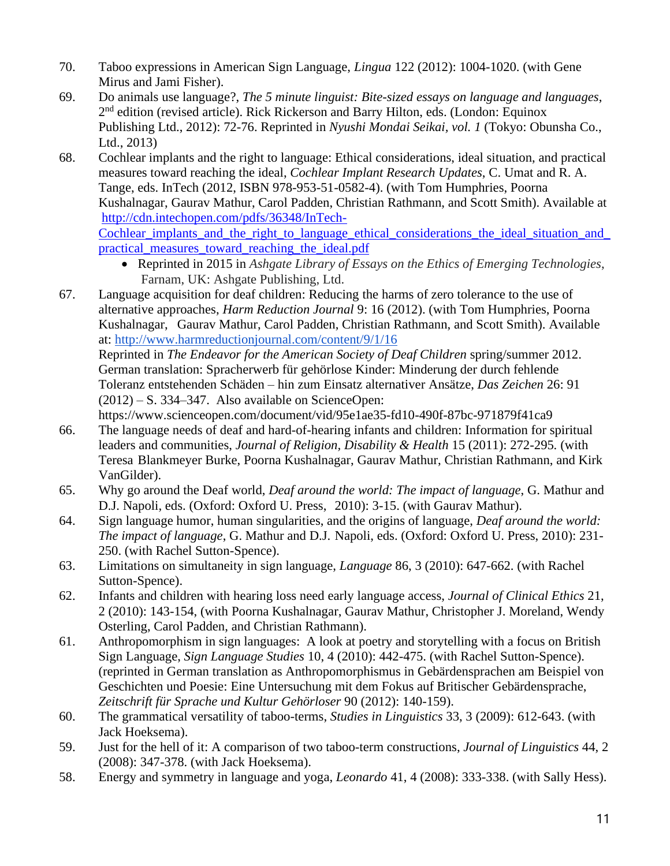- 70. Taboo expressions in American Sign Language, *Lingua* 122 (2012): 1004-1020. (with Gene Mirus and Jami Fisher).
- 69. Do animals use language?, *The 5 minute linguist: Bite-sized essays on language and languages*, 2<sup>nd</sup> edition (revised article). Rick Rickerson and Barry Hilton, eds. (London: Equinox Publishing Ltd., 2012): 72-76. Reprinted in *Nyushi Mondai Seikai, vol. 1* (Tokyo: Obunsha Co., Ltd., 2013)
- 68. Cochlear implants and the right to language: Ethical considerations, ideal situation, and practical measures toward reaching the ideal, *Cochlear Implant Research Updates*, C. Umat and R. A. Tange, eds. InTech (2012, ISBN 978-953-51-0582-4). (with Tom Humphries, Poorna Kushalnagar, Gaurav Mathur, Carol Padden, Christian Rathmann, and Scott Smith). Available at [http://cdn.intechopen.com/pdfs/36348/InTech-](http://cdn.intechopen.com/pdfs/36348/InTech-Cochlear_implants_and_the_right_to_language_ethical_considerations_the_ideal_situation_and_practical_measures_toward_reaching_the_ideal.pdf)Cochlear implants and the right to language ethical considerations the ideal situation and [practical\\_measures\\_toward\\_reaching\\_the\\_ideal.pdf](http://cdn.intechopen.com/pdfs/36348/InTech-Cochlear_implants_and_the_right_to_language_ethical_considerations_the_ideal_situation_and_practical_measures_toward_reaching_the_ideal.pdf)
	- Reprinted in 2015 in *Ashgate Library of Essays on the Ethics of Emerging Technologies*, Farnam, UK: Ashgate Publishing, Ltd.
- 67. Language acquisition for deaf children: Reducing the harms of zero tolerance to the use of alternative approaches, *Harm Reduction Journal* 9: 16 (2012). (with Tom Humphries, Poorna Kushalnagar, Gaurav Mathur, Carol Padden, Christian Rathmann, and Scott Smith). Available at:<http://www.harmreductionjournal.com/content/9/1/16>

Reprinted in *The Endeavor for the American Society of Deaf Children* spring/summer 2012. German translation: Spracherwerb für gehörlose Kinder: Minderung der durch fehlende Toleranz entstehenden Schäden – hin zum Einsatz alternativer Ansätze, *Das Zeichen* 26: 91 (2012) – S. 334–347. Also available on ScienceOpen:

https://www.scienceopen.com/document/vid/95e1ae35-fd10-490f-87bc-971879f41ca9

- 66. The language needs of deaf and hard-of-hearing infants and children: Information for spiritual leaders and communities, *Journal of Religion, Disability & Health* 15 (2011): 272-295*.* (with Teresa Blankmeyer Burke, Poorna Kushalnagar, Gaurav Mathur, Christian Rathmann, and Kirk VanGilder).
- 65. Why go around the Deaf world, *Deaf around the world: The impact of language*, G. Mathur and D.J. Napoli, eds. (Oxford: Oxford U. Press, 2010): 3-15. (with Gaurav Mathur).
- 64. Sign language humor, human singularities, and the origins of language, *Deaf around the world: The impact of language*, G. Mathur and D.J. Napoli, eds. (Oxford: Oxford U. Press, 2010): 231- 250. (with Rachel Sutton-Spence).
- 63. Limitations on simultaneity in sign language, *Language* 86, 3 (2010): 647-662. (with Rachel Sutton-Spence).
- 62. Infants and children with hearing loss need early language access, *Journal of Clinical Ethics* 21, 2 (2010): 143-154, (with Poorna Kushalnagar, Gaurav Mathur, Christopher J. Moreland, Wendy Osterling, Carol Padden, and Christian Rathmann).
- 61. Anthropomorphism in sign languages: A look at poetry and storytelling with a focus on British Sign Language, *Sign Language Studies* 10, 4 (2010): 442-475. (with Rachel Sutton-Spence). (reprinted in German translation as Anthropomorphismus in Gebärdensprachen am Beispiel von Geschichten und Poesie: Eine Untersuchung mit dem Fokus auf Britischer Gebärdensprache, *Zeitschrift für Sprache und Kultur Gehörloser* 90 (2012): 140-159).
- 60. The grammatical versatility of taboo-terms, *Studies in Linguistics* 33, 3 (2009): 612-643. (with Jack Hoeksema).
- 59. Just for the hell of it: A comparison of two taboo-term constructions, *Journal of Linguistics* 44, 2 (2008): 347-378. (with Jack Hoeksema).
- 58. Energy and symmetry in language and yoga, *Leonardo* 41, 4 (2008): 333-338. (with Sally Hess).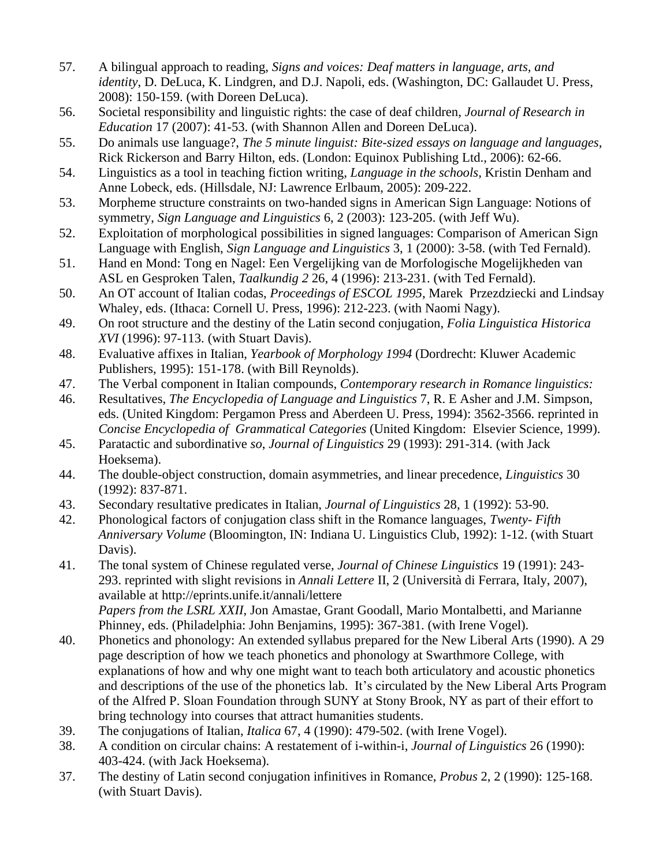- 57. A bilingual approach to reading, *Signs and voices: Deaf matters in language, arts, and identity*, D. DeLuca, K. Lindgren, and D.J. Napoli, eds. (Washington, DC: Gallaudet U. Press, 2008): 150-159. (with Doreen DeLuca).
- 56. Societal responsibility and linguistic rights: the case of deaf children, *Journal of Research in Education* 17 (2007): 41-53. (with Shannon Allen and Doreen DeLuca).
- 55. Do animals use language?, *The 5 minute linguist: Bite-sized essays on language and languages*, Rick Rickerson and Barry Hilton, eds. (London: Equinox Publishing Ltd., 2006): 62-66.
- 54. Linguistics as a tool in teaching fiction writing, *Language in the schools,* Kristin Denham and Anne Lobeck, eds. (Hillsdale, NJ: Lawrence Erlbaum, 2005): 209-222.
- 53. Morpheme structure constraints on two-handed signs in American Sign Language: Notions of symmetry, *Sign Language and Linguistics* 6, 2 (2003): 123-205. (with Jeff Wu).
- 52. Exploitation of morphological possibilities in signed languages: Comparison of American Sign Language with English, *Sign Language and Linguistics* 3, 1 (2000): 3-58. (with Ted Fernald).
- 51. Hand en Mond: Tong en Nagel: Een Vergelijking van de Morfologische Mogelijkheden van ASL en Gesproken Talen, *Taalkundig 2* 26, 4 (1996): 213-231. (with Ted Fernald).
- 50. An OT account of Italian codas, *Proceedings of ESCOL 1995*, Marek Przezdziecki and Lindsay Whaley, eds. (Ithaca: Cornell U. Press, 1996): 212-223. (with Naomi Nagy).
- 49. On root structure and the destiny of the Latin second conjugation, *Folia Linguistica Historica XVI* (1996): 97-113. (with Stuart Davis).
- 48. Evaluative affixes in Italian, *Yearbook of Morphology 1994* (Dordrecht: Kluwer Academic Publishers, 1995): 151-178. (with Bill Reynolds).
- 47. The Verbal component in Italian compounds, *Contemporary research in Romance linguistics:*
- 46. Resultatives, *The Encyclopedia of Language and Linguistics* 7, R. E Asher and J.M. Simpson, eds. (United Kingdom: Pergamon Press and Aberdeen U. Press, 1994): 3562-3566. reprinted in *Concise Encyclopedia of Grammatical Categories* (United Kingdom: Elsevier Science, 1999).
- 45. Paratactic and subordinative *so*, *Journal of Linguistics* 29 (1993): 291-314. (with Jack Hoeksema).
- 44. The double-object construction, domain asymmetries, and linear precedence, *Linguistics* 30 (1992): 837-871.
- 43. Secondary resultative predicates in Italian, *Journal of Linguistics* 28, 1 (1992): 53-90.
- 42. Phonological factors of conjugation class shift in the Romance languages, *Twenty- Fifth Anniversary Volume* (Bloomington, IN: Indiana U. Linguistics Club, 1992): 1-12. (with Stuart Davis).
- 41. The tonal system of Chinese regulated verse, *Journal of Chinese Linguistics* 19 (1991): 243- 293. reprinted with slight revisions in *Annali Lettere* II, 2 (Università di Ferrara, Italy, 2007), available at http://eprints.unife.it/annali/lettere *Papers from the LSRL XXII*, Jon Amastae, Grant Goodall, Mario Montalbetti, and Marianne Phinney, eds. (Philadelphia: John Benjamins, 1995): 367-381. (with Irene Vogel).
- 40. Phonetics and phonology: An extended syllabus prepared for the New Liberal Arts (1990). A 29 page description of how we teach phonetics and phonology at Swarthmore College, with explanations of how and why one might want to teach both articulatory and acoustic phonetics and descriptions of the use of the phonetics lab. It's circulated by the New Liberal Arts Program of the Alfred P. Sloan Foundation through SUNY at Stony Brook, NY as part of their effort to bring technology into courses that attract humanities students.
- 39. The conjugations of Italian, *Italica* 67, 4 (1990): 479-502. (with Irene Vogel).
- 38. A condition on circular chains: A restatement of i-within-i, *Journal of Linguistics* 26 (1990): 403-424. (with Jack Hoeksema).
- 37. The destiny of Latin second conjugation infinitives in Romance, *Probus* 2, 2 (1990): 125-168. (with Stuart Davis).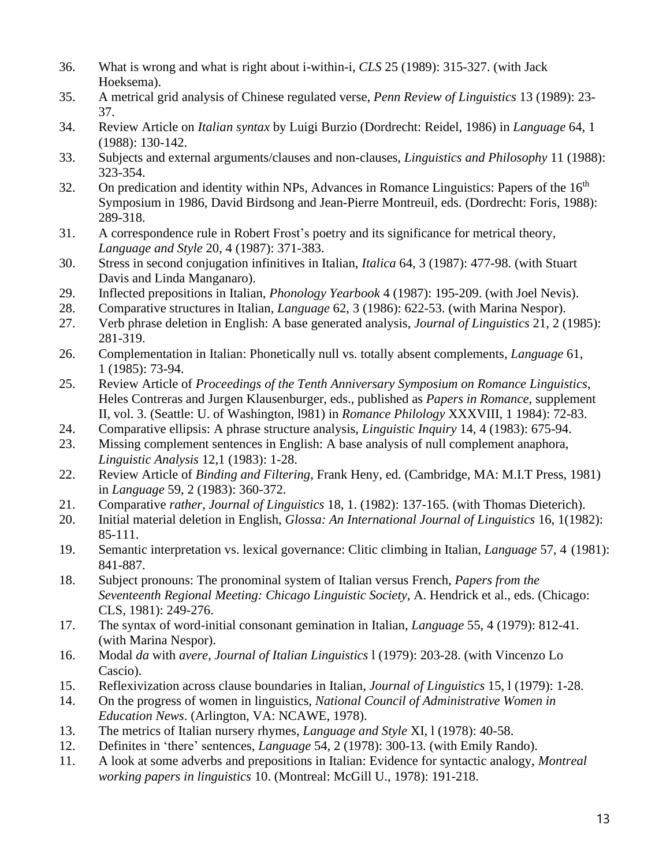- 36. What is wrong and what is right about i-within-i, *CLS* 25 (1989): 315-327. (with Jack Hoeksema).
- 35. A metrical grid analysis of Chinese regulated verse, *Penn Review of Linguistics* 13 (1989): 23- 37.
- 34. Review Article on *Italian syntax* by Luigi Burzio (Dordrecht: Reidel, 1986) in *Language* 64, 1 (1988): 130-142.
- 33. Subjects and external arguments/clauses and non-clauses, *Linguistics and Philosophy* 11 (1988): 323-354.
- 32. On predication and identity within NPs, Advances in Romance Linguistics: Papers of the  $16<sup>th</sup>$ Symposium in 1986, David Birdsong and Jean-Pierre Montreuil, eds. (Dordrecht: Foris, 1988): 289-318.
- 31. A correspondence rule in Robert Frost's poetry and its significance for metrical theory, *Language and Style* 20, 4 (1987): 371-383.
- 30. Stress in second conjugation infinitives in Italian, *Italica* 64, 3 (1987): 477-98. (with Stuart Davis and Linda Manganaro).
- 29. Inflected prepositions in Italian, *Phonology Yearbook* 4 (1987): 195-209. (with Joel Nevis).
- 28. Comparative structures in Italian, *Language* 62, 3 (1986): 622-53. (with Marina Nespor).
- 27. Verb phrase deletion in English: A base generated analysis, *Journal of Linguistics* 21, 2 (1985): 281-319.
- 26. Complementation in Italian: Phonetically null vs. totally absent complements, *Language* 61, 1 (1985): 73-94.
- 25. [Review Article of](../../../../../../Donna%20Jo/Dropbox/W%20files%20-%20HOME/linguistics/vita%20type%20stuff/ling%20articles/reviewofContreras.pdf) *Proceedings of the Tenth Anniversary Symposium on Romance Linguistics*, Heles Contreras and Jurgen Klausenburger, eds., published as *Papers in Romance*, supplement II, vol. 3. (Seattle: U. of Washington, l981) in *Romance Philology* XXXVIII, 1 1984): 72-83.
- 24. Comparative ellipsis: A phrase structure analysis, *Linguistic Inquiry* 14, 4 (1983): 675-94.
- 23. Missing complement sentences in English: A base analysis of null complement anaphora, *Linguistic Analysis* 12,1 (1983): 1-28.
- 22. Review Article of *Binding and Filtering*, Frank Heny, ed. (Cambridge, MA: M.I.T Press, 1981) in *Language* 59, 2 (1983): 360-372.
- 21. Comparative *rather*, *Journal of Linguistics* 18, 1. (1982): 137-165. (with Thomas Dieterich).
- 20. Initial material deletion in English, *Glossa: An International Journal of Linguistics* 16, 1(1982): 85-111.
- 19. Semantic interpretation vs. lexical governance: Clitic climbing in Italian, *Language* 57, 4 (1981): 841-887.
- 18. Subject pronouns: The pronominal system of Italian versus French, *Papers from the Seventeenth Regional Meeting: Chicago Linguistic Society*, A. Hendrick et al., eds. (Chicago: CLS, 1981): 249-276.
- 17. [The syntax of word-initial consonant gemination in Italian,](../../../../../../Donna%20Jo/Dropbox/W%20files%20-%20HOME/linguistics/vita%20type%20stuff/ling%20%0aarticles/syntaxwordinitialCgemination#0) *Language* 55, 4 (1979): 812-41. (with Marina Nespor).
- 16. Modal *da* with *avere*, *Journal of Italian Linguistics* l (1979): 203-28. (with Vincenzo Lo Cascio).
- 15. Reflexivization across clause boundaries in Italian, *Journal of Linguistics* 15, l (1979): 1-28.
- 14. On the progress of women in linguistics, *National Council of Administrative Women in Education News*. (Arlington, VA: NCAWE, 1978).
- 13. The metrics of Italian nursery rhymes, *Language and Style* XI, l (1978): 40-58.
- 12. Definites in 'there' sentences, *Language* 54, 2 (1978): 300-13. (with Emily Rando).
- 11. A look at some adverbs and prepositions in Italian: Evidence for syntactic analogy, *Montreal working papers in linguistics* 10. (Montreal: McGill U., 1978): 191-218.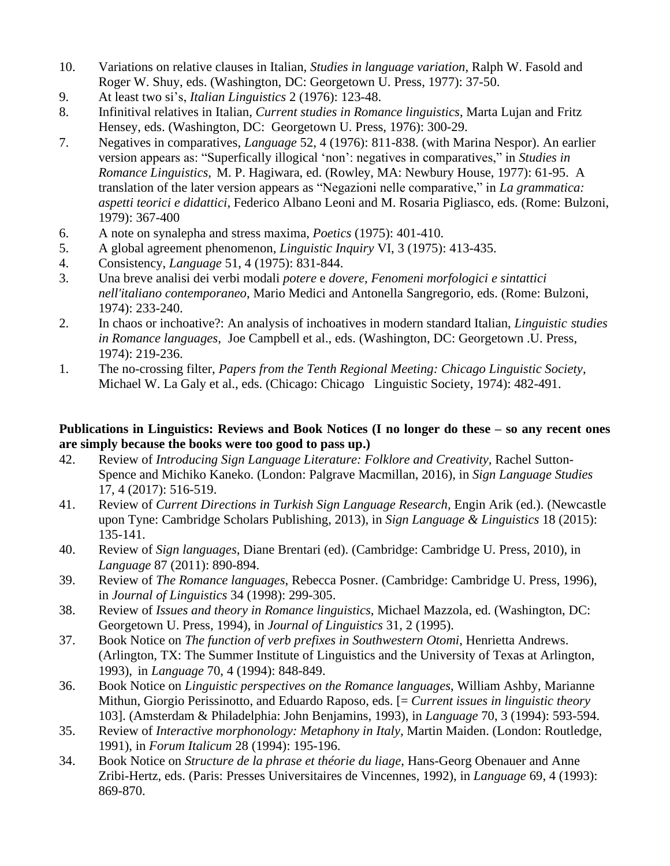- 10. Variations on relative clauses in Italian, *Studies in language variation*, Ralph W. Fasold and Roger W. Shuy, eds. (Washington, DC: Georgetown U. Press, 1977): 37-50.
- 9. At least two si's, *Italian Linguistics* 2 (1976): 123-48.
- 8. Infinitival relatives in Italian, *Current studies in Romance linguistics*, Marta Lujan and Fritz Hensey, eds. (Washington, DC: Georgetown U. Press, 1976): 300-29.
- 7. Negatives in comparatives, *Language* 52, 4 (1976): 811-838. (with Marina Nespor). An earlier version appears as: "Superfically illogical 'non': negatives in comparatives," in *Studies in Romance Linguistics*, M. P. Hagiwara, ed. (Rowley, MA: Newbury House, 1977): 61-95. A translation of the later version appears as "Negazioni nelle comparative," in *La grammatica: aspetti teorici e didattici*, Federico Albano Leoni and M. Rosaria Pigliasco, eds. (Rome: Bulzoni, 1979): 367-400
- 6. A note on synalepha and stress maxima, *Poetics* (1975): 401-410.
- 5. A global agreement phenomenon, *Linguistic Inquiry* VI, 3 (1975): 413-435.
- 4. Consistency, *Language* 51, 4 (1975): 831-844.
- 3. Una breve analisi dei verbi modali *potere* e *dovere*, *Fenomeni morfologici e sintattici nell'italiano contemporaneo*, Mario Medici and Antonella Sangregorio, eds. (Rome: Bulzoni, 1974): 233-240.
- 2. In chaos or inchoative?: An analysis of inchoatives in modern standard Italian, *Linguistic studies in Romance languages*, Joe Campbell et al., eds. (Washington, DC: Georgetown .U. Press, 1974): 219-236.
- 1. The no-crossing filter, *Papers from the Tenth Regional Meeting: Chicago Linguistic Society*, Michael W. La Galy et al., eds. (Chicago: Chicago Linguistic Society, 1974): 482-491.

#### **Publications in Linguistics: Reviews and Book Notices (I no longer do these – so any recent ones are simply because the books were too good to pass up.)**

- 42. Review of *Introducing Sign Language Literature: Folklore and Creativity,* Rachel Sutton-Spence and Michiko Kaneko. (London: Palgrave Macmillan, 2016), in *Sign Language Studies* 17, 4 (2017): 516-519.
- 41. Review of *Current Directions in Turkish Sign Language Research,* Engin Arik (ed.). (Newcastle upon Tyne: Cambridge Scholars Publishing, 2013), in *Sign Language & Linguistics* 18 (2015): 135-141.
- 40. Review of *Sign languages*, Diane Brentari (ed). (Cambridge: Cambridge U. Press, 2010), in *Language* 87 (2011): 890-894.
- 39. Review of *The Romance languages*, Rebecca Posner. (Cambridge: Cambridge U. Press, 1996), in *Journal of Linguistics* 34 (1998): 299-305.
- 38. Review of *Issues and theory in Romance linguistics*, Michael Mazzola, ed. (Washington, DC: Georgetown U. Press, 1994), in *Journal of Linguistics* 31, 2 (1995).
- 37. Book Notice on *The function of verb prefixes in Southwestern Otomi*, Henrietta Andrews. (Arlington, TX: The Summer Institute of Linguistics and the University of Texas at Arlington, 1993), in *Language* 70, 4 (1994): 848-849.
- 36. Book Notice on *Linguistic perspectives on the Romance languages*, William Ashby, Marianne Mithun, Giorgio Perissinotto, and Eduardo Raposo, eds. [= *Current issues in linguistic theory*  103]. (Amsterdam & Philadelphia: John Benjamins, 1993), in *Language* 70, 3 (1994): 593-594.
- 35. Review of *Interactive morphonology: Metaphony in Italy,* Martin Maiden. (London: Routledge, 1991), in *Forum Italicum* 28 (1994): 195-196.
- 34. Book Notice on *Structure de la phrase et théorie du liage*, Hans-Georg Obenauer and Anne Zribi-Hertz, eds. (Paris: Presses Universitaires de Vincennes, 1992), in *Language* 69, 4 (1993): 869-870.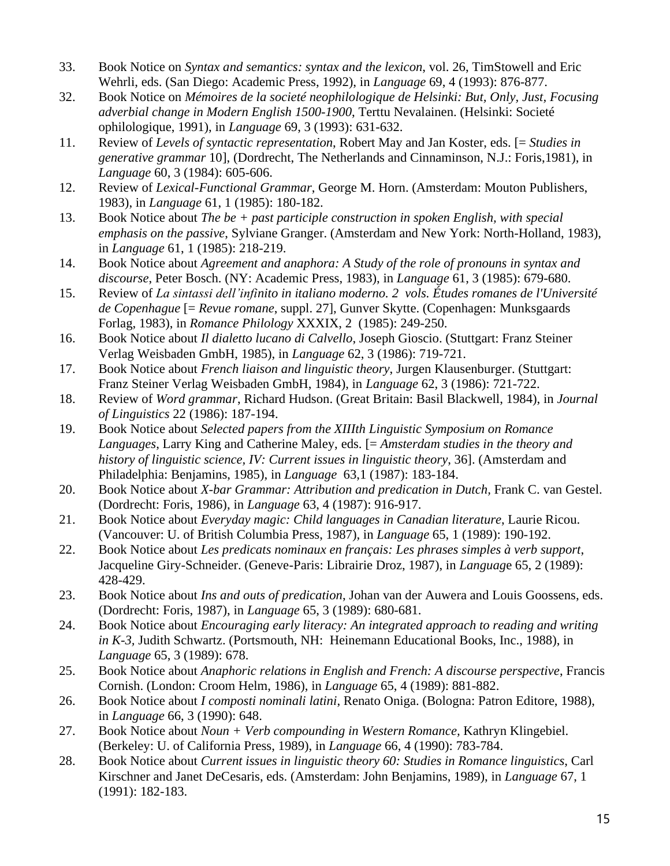- 33. Book Notice on *Syntax and semantics: syntax and the lexicon*, vol. 26, TimStowell and Eric Wehrli, eds. (San Diego: Academic Press, 1992), in *Language* 69, 4 (1993): 876-877.
- 32. Book Notice on *Mémoires de la societé neophilologique de Helsinki: But, Only, Just, Focusing adverbial change in Modern English 1500-1900*, Terttu Nevalainen. (Helsinki: Societé ophilologique, 1991), in *Language* 69, 3 (1993): 631-632.
- 11. Review of *Levels of syntactic representation*, Robert May and Jan Koster, eds. [= *Studies in generative grammar* 10], (Dordrecht, The Netherlands and Cinnaminson, N.J.: Foris,1981), in *Language* 60, 3 (1984): 605-606.
- 12. Review of *Lexical-Functional Grammar*, George M. Horn. (Amsterdam: Mouton Publishers, 1983), in *Language* 61, 1 (1985): 180-182.
- 13. Book Notice about *The be + past participle construction in spoken English, with special emphasis on the passive*, Sylviane Granger. (Amsterdam and New York: North-Holland, 1983), in *Language* 61, 1 (1985): 218-219.
- 14. Book Notice about *Agreement and anaphora: A Study of the role of pronouns in syntax and discourse*, Peter Bosch. (NY: Academic Press, 1983), in *Language* 61, 3 (1985): 679-680.
- 15. Review of *La sintassi dell'infinito in italiano moderno. 2 vols. Études romanes de l'Université de Copenhague* [= *Revue romane*, suppl. 27], Gunver Skytte. (Copenhagen: Munksgaards Forlag, 1983), in *Romance Philology* XXXIX, 2 (1985): 249-250.
- 16. Book Notice about *Il dialetto lucano di Calvello*, Joseph Gioscio. (Stuttgart: Franz Steiner Verlag Weisbaden GmbH, 1985), in *Language* 62, 3 (1986): 719-721.
- 17. Book Notice about *French liaison and linguistic theory*, Jurgen Klausenburger. (Stuttgart: Franz Steiner Verlag Weisbaden GmbH, 1984), in *Language* 62, 3 (1986): 721-722.
- 18. Review of *Word grammar*, Richard Hudson. (Great Britain: Basil Blackwell, 1984), in *Journal of Linguistics* 22 (1986): 187-194.
- 19. Book Notice about *Selected papers from the XIIIth Linguistic Symposium on Romance Languages*, Larry King and Catherine Maley, eds. [= *Amsterdam studies in the theory and history of linguistic science, IV: Current issues in linguistic theory*, 36]. (Amsterdam and Philadelphia: Benjamins, 1985), in *Language* 63,1 (1987): 183-184.
- 20. Book Notice about *X-bar Grammar: Attribution and predication in Dutch,* Frank C. van Gestel. (Dordrecht: Foris, 1986), in *Language* 63, 4 (1987): 916-917.
- 21. Book Notice about *Everyday magic: Child languages in Canadian literature*, Laurie Ricou. (Vancouver: U. of British Columbia Press, 1987), in *Language* 65, 1 (1989): 190-192.
- 22. Book Notice about *Les predicats nominaux en français: Les phrases simples à verb support*, Jacqueline Giry-Schneider. (Geneve-Paris: Librairie Droz, 1987), in *Languag*e 65, 2 (1989): 428-429.
- 23. Book Notice about *Ins and outs of predication*, Johan van der Auwera and Louis Goossens, eds. (Dordrecht: Foris, 1987), in *Language* 65, 3 (1989): 680-681.
- 24. Book Notice about *Encouraging early literacy: An integrated approach to reading and writing in K-3,* Judith Schwartz. (Portsmouth, NH: Heinemann Educational Books, Inc., 1988), in *Language* 65, 3 (1989): 678.
- 25. Book Notice about *Anaphoric relations in English and French: A discourse perspective*, Francis Cornish. (London: Croom Helm, 1986), in *Language* 65, 4 (1989): 881-882.
- 26. Book Notice about *I composti nominali latini*, Renato Oniga. (Bologna: Patron Editore, 1988), in *Language* 66, 3 (1990): 648.
- 27. Book Notice about *Noun + Verb compounding in Western Romance,* Kathryn Klingebiel. (Berkeley: U. of California Press, 1989), in *Language* 66, 4 (1990): 783-784.
- 28. Book Notice about *Current issues in linguistic theory 60: Studies in Romance linguistics*, Carl Kirschner and Janet DeCesaris, eds. (Amsterdam: John Benjamins, 1989), in *Language* 67, 1 (1991): 182-183.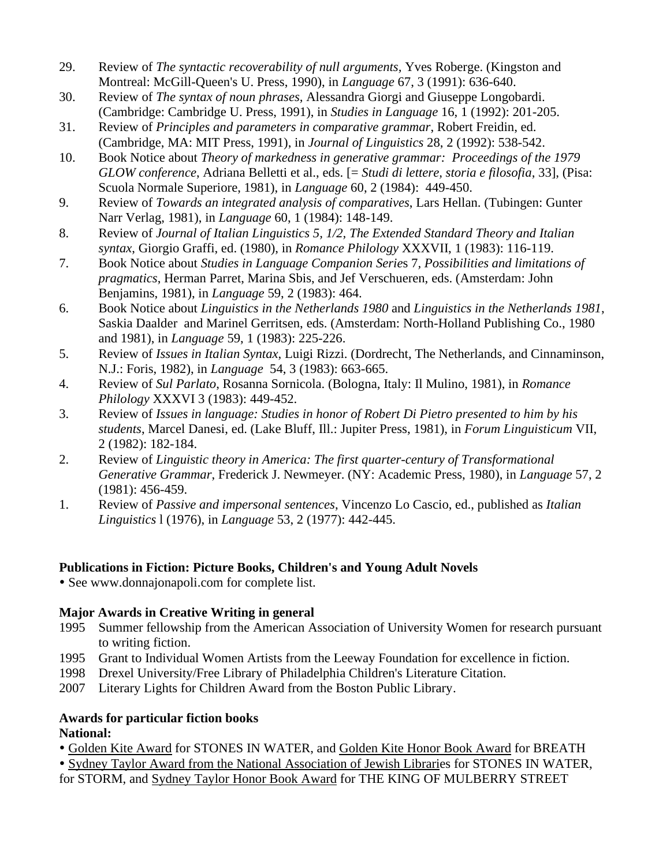- 29. Review of *The syntactic recoverability of null arguments,* Yves Roberge. (Kingston and Montreal: McGill-Queen's U. Press, 1990), in *Language* 67, 3 (1991): 636-640.
- 30. Review of *The syntax of noun phrases,* Alessandra Giorgi and Giuseppe Longobardi. (Cambridge: Cambridge U. Press, 1991), in *Studies in Language* 16, 1 (1992): 201-205.
- 31. Review of *Principles and parameters in comparative grammar*, Robert Freidin, ed. (Cambridge, MA: MIT Press, 1991), in *Journal of Linguistics* 28, 2 (1992): 538-542.
- 10. Book Notice about *Theory of markedness in generative grammar: Proceedings of the 1979 GLOW conference*, Adriana Belletti et al., eds. [= *Studi di lettere, storia e filosofia*, 33], (Pisa: Scuola Normale Superiore, 1981), in *Language* 60, 2 (1984): 449-450.
- 9. Review of *Towards an integrated analysis of comparatives*, Lars Hellan. (Tubingen: Gunter Narr Verlag, 1981), in *Language* 60, 1 (1984): 148-149.
- 8. Review of *Journal of Italian Linguistics 5, 1/2, The Extended Standard Theory and Italian syntax*, Giorgio Graffi, ed. (1980), in *Romance Philology* XXXVII, 1 (1983): 116-119.
- 7. Book Notice about *Studies in Language Companion Serie*s 7*, Possibilities and limitations of pragmatics*, Herman Parret, Marina Sbis, and Jef Verschueren, eds. (Amsterdam: John Benjamins, 1981), in *Language* 59, 2 (1983): 464.
- 6. Book Notice about *Linguistics in the Netherlands 1980* and *Linguistics in the Netherlands 1981*, Saskia Daalder and Marinel Gerritsen, eds. (Amsterdam: North-Holland Publishing Co., 1980 and 1981), in *Language* 59, 1 (1983): 225-226.
- 5. Review of *Issues in Italian Syntax*, Luigi Rizzi. (Dordrecht, The Netherlands, and Cinnaminson, N.J.: Foris, 1982), in *Language* 54, 3 (1983): 663-665.
- 4. Review of *Sul Parlato*, Rosanna Sornicola. (Bologna, Italy: Il Mulino, 1981), in *Romance Philology* XXXVI 3 (1983): 449-452.
- 3. Review of *Issues in language: Studies in honor of Robert Di Pietro presented to him by his students*, Marcel Danesi, ed. (Lake Bluff, Ill.: Jupiter Press, 1981), in *Forum Linguisticum* VII, 2 (1982): 182-184.
- 2. Review of *Linguistic theory in America: The first quarter-century of Transformational Generative Grammar*, Frederick J. Newmeyer. (NY: Academic Press, 1980), in *Language* 57, 2 (1981): 456-459.
- 1. Review of *Passive and impersonal sentences*, Vincenzo Lo Cascio, ed., published as *Italian Linguistics* l (1976), in *Language* 53, 2 (1977): 442-445.

### **Publications in Fiction: Picture Books, Children's and Young Adult Novels**

See www.donnajonapoli.com for complete list.

## **Major Awards in Creative Writing in general**

- 1995 Summer fellowship from the American Association of University Women for research pursuant to writing fiction.
- 1995 Grant to Individual Women Artists from the Leeway Foundation for excellence in fiction.
- 1998 Drexel University/Free Library of Philadelphia Children's Literature Citation.
- 2007 Literary Lights for Children Award from the Boston Public Library.

## **Awards for particular fiction books National:**

Golden Kite Award for STONES IN WATER, and Golden Kite Honor Book Award for BREATH

 Sydney Taylor Award from the National Association of Jewish Libraries for STONES IN WATER, for STORM, and Sydney Taylor Honor Book Award for THE KING OF MULBERRY STREET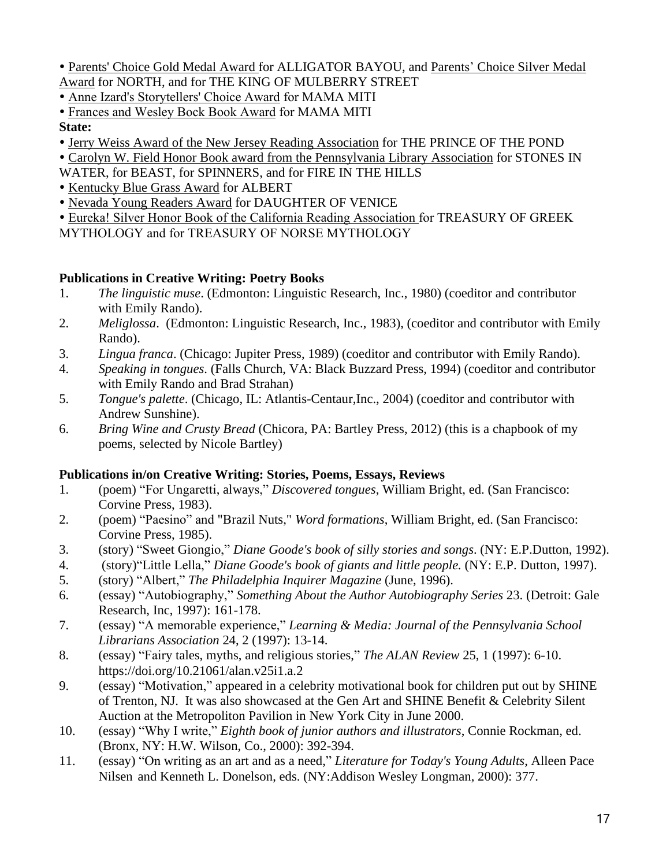- Parents' Choice Gold Medal Award for ALLIGATOR BAYOU, and Parents' Choice Silver Medal Award for NORTH, and for THE KING OF MULBERRY STREET
- Anne Izard's Storytellers' Choice Award for MAMA MITI
- Frances and Wesley Bock Book Award for MAMA MITI

### **State:**

- Jerry Weiss Award of the New Jersey Reading Association for THE PRINCE OF THE POND
- Carolyn W. Field Honor Book award from the Pennsylvania Library Association for STONES IN
- WATER, for BEAST, for SPINNERS, and for FIRE IN THE HILLS
- Kentucky Blue Grass Award for ALBERT
- Nevada Young Readers Award for DAUGHTER OF VENICE
- Eureka! Silver Honor Book of the California Reading Association for TREASURY OF GREEK
- MYTHOLOGY and for TREASURY OF NORSE MYTHOLOGY

# **Publications in Creative Writing: Poetry Books**

- 1. *The linguistic muse*. (Edmonton: Linguistic Research, Inc., 1980) (coeditor and contributor with Emily Rando).
- 2. *Meliglossa*. (Edmonton: Linguistic Research, Inc., 1983), (coeditor and contributor with Emily Rando).
- 3. *Lingua franca*. (Chicago: Jupiter Press, 1989) (coeditor and contributor with Emily Rando).
- 4. *Speaking in tongues*. (Falls Church, VA: Black Buzzard Press, 1994) (coeditor and contributor with Emily Rando and Brad Strahan)
- 5. *Tongue's palette*. (Chicago, IL: Atlantis-Centaur,Inc., 2004) (coeditor and contributor with Andrew Sunshine).
- 6. *Bring Wine and Crusty Bread* (Chicora, PA: Bartley Press, 2012) (this is a chapbook of my poems, selected by Nicole Bartley)

## **Publications in/on Creative Writing: Stories, Poems, Essays, Reviews**

- 1. (poem) "For Ungaretti, always," *Discovered tongues*, William Bright, ed. (San Francisco: Corvine Press, 1983).
- 2. (poem) "Paesino" and "Brazil Nuts," *Word formations*, William Bright, ed. (San Francisco: Corvine Press, 1985).
- 3. (story) "Sweet Giongio," *Diane Goode's book of silly stories and songs*. (NY: E.P.Dutton, 1992).
- 4. (story)"Little Lella," *Diane Goode's book of giants and little people.* (NY: E.P. Dutton, 1997).
- 5. (story) "Albert," *The Philadelphia Inquirer Magazine* (June, 1996).
- 6. (essay) "Autobiography," *Something About the Author Autobiography Series* 23. (Detroit: Gale Research, Inc, 1997): 161-178.
- 7. (essay) "A memorable experience," *Learning & Media: Journal of the Pennsylvania School Librarians Association* 24, 2 (1997): 13-14.
- 8. (essay) "Fairy tales, myths, and religious stories," *The ALAN Review* 25, 1 (1997): 6-10. https://doi.org/10.21061/alan.v25i1.a.2
- 9. (essay) "Motivation," appeared in a celebrity motivational book for children put out by SHINE of Trenton, NJ. It was also showcased at the Gen Art and SHINE Benefit & Celebrity Silent Auction at the Metropoliton Pavilion in New York City in June 2000.
- 10. (essay) "Why I write," *Eighth book of junior authors and illustrators*, Connie Rockman, ed. (Bronx, NY: H.W. Wilson, Co., 2000): 392-394.
- 11. (essay) "On writing as an art and as a need," *Literature for Today's Young Adults*, Alleen Pace Nilsen and Kenneth L. Donelson, eds. (NY:Addison Wesley Longman, 2000): 377.